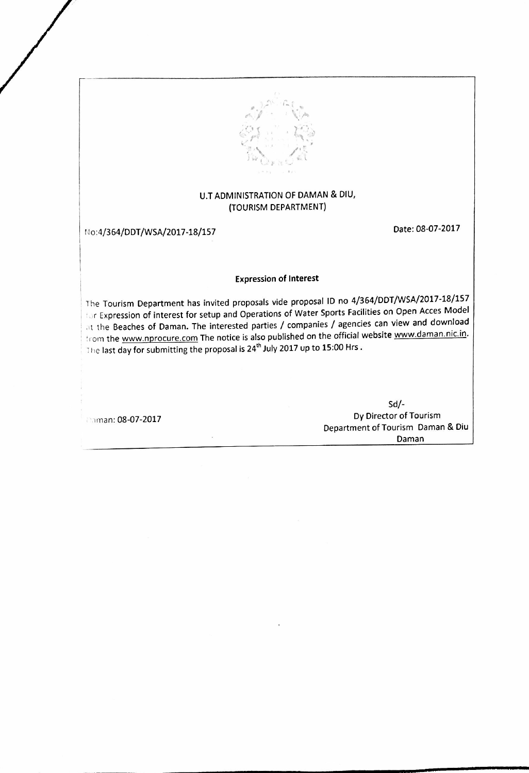

#### U.T ADMINISTRATION OF DAMAN & DIU, (TOURISM DEPARTMENT)

No:4/364/DDT/WSA/2017-18/157

Date: 08-07-2017

#### **Expression of Interest**

The Tourism Department has invited proposals vide proposal ID no 4/364/DDT/WSA/2017-18/157 for Expression of interest for setup and Operations of Water Sports Facilities on Open Acces Model at the Beaches of Daman. The interested parties / companies / agencies can view and download from the www.nprocure.com The notice is also published on the official website www.daman.nic.in. The last day for submitting the proposal is 24<sup>th</sup> July 2017 up to 15:00 Hrs.

Daman: 08-07-2017

 $Sd$ -Dy Director of Tourism Department of Tourism Daman & Diu Daman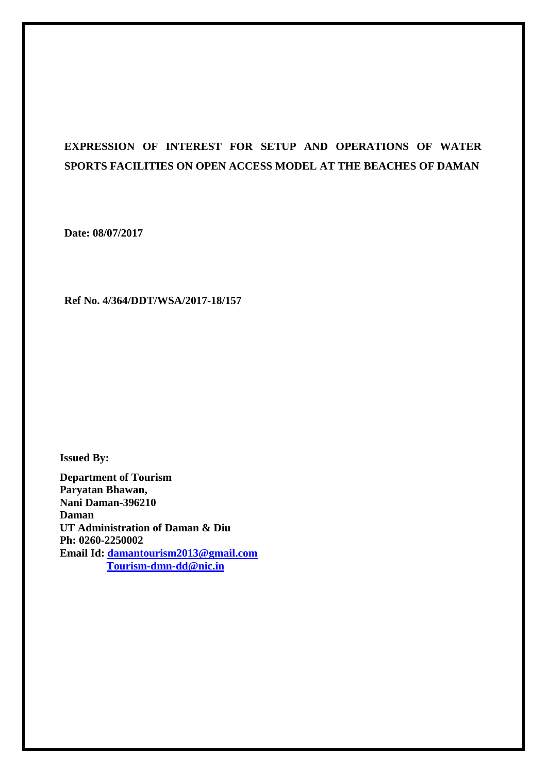# **EXPRESSION OF INTEREST FOR SETUP AND OPERATIONS OF WATER SPORTS FACILITIES ON OPEN ACCESS MODEL AT THE BEACHES OF DAMAN**

**Date: 08/07/2017**

**Ref No. 4/364/DDT/WSA/2017-18/157**

**Issued By:**

**Department of Tourism Paryatan Bhawan, Nani Daman-396210 Daman UT Administration of Daman & Diu Ph: 0260-2250002 Email Id: [damantourism2013@gmail.com](mailto:damantourism2013@gmail.com) [Tourism-dmn-dd@nic.in](mailto:Tourism-dmn-dd@nic.in)**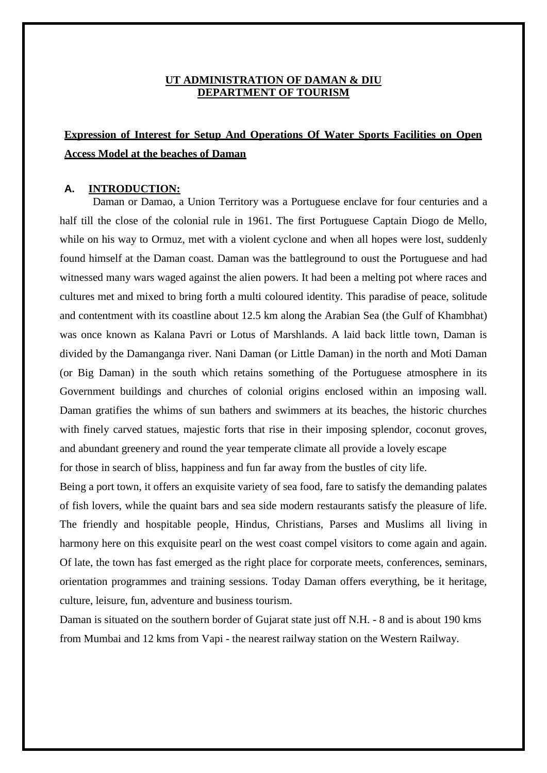#### **UT ADMINISTRATION OF DAMAN & DIU DEPARTMENT OF TOURISM**

# **Expression of Interest for Setup And Operations Of Water Sports Facilities on Open Access Model at the beaches of Daman**

#### **A. INTRODUCTION:**

Daman or Damao, a Union Territory was a Portuguese enclave for four centuries and a half till the close of the colonial rule in 1961. The first Portuguese Captain Diogo de Mello, while on his way to Ormuz, met with a violent cyclone and when all hopes were lost, suddenly found himself at the Daman coast. Daman was the battleground to oust the Portuguese and had witnessed many wars waged against the alien powers. It had been a melting pot where races and cultures met and mixed to bring forth a multi coloured identity. This paradise of peace, solitude and contentment with its coastline about 12.5 km along the Arabian Sea (the Gulf of Khambhat) was once known as Kalana Pavri or Lotus of Marshlands. A laid back little town, Daman is divided by the Damanganga river. Nani Daman (or Little Daman) in the north and Moti Daman (or Big Daman) in the south which retains something of the Portuguese atmosphere in its Government buildings and churches of colonial origins enclosed within an imposing wall. Daman gratifies the whims of sun bathers and swimmers at its beaches, the historic churches with finely carved statues, majestic forts that rise in their imposing splendor, coconut groves, and abundant greenery and round the year temperate climate all provide a lovely escape

for those in search of bliss, happiness and fun far away from the bustles of city life.

Being a port town, it offers an exquisite variety of sea food, fare to satisfy the demanding palates of fish lovers, while the quaint bars and sea side modern restaurants satisfy the pleasure of life. The friendly and hospitable people, Hindus, Christians, Parses and Muslims all living in harmony here on this exquisite pearl on the west coast compel visitors to come again and again. Of late, the town has fast emerged as the right place for corporate meets, conferences, seminars, orientation programmes and training sessions. Today Daman offers everything, be it heritage, culture, leisure, fun, adventure and business tourism.

Daman is situated on the southern border of Gujarat state just off N.H. - 8 and is about 190 kms from Mumbai and 12 kms from Vapi - the nearest railway station on the Western Railway.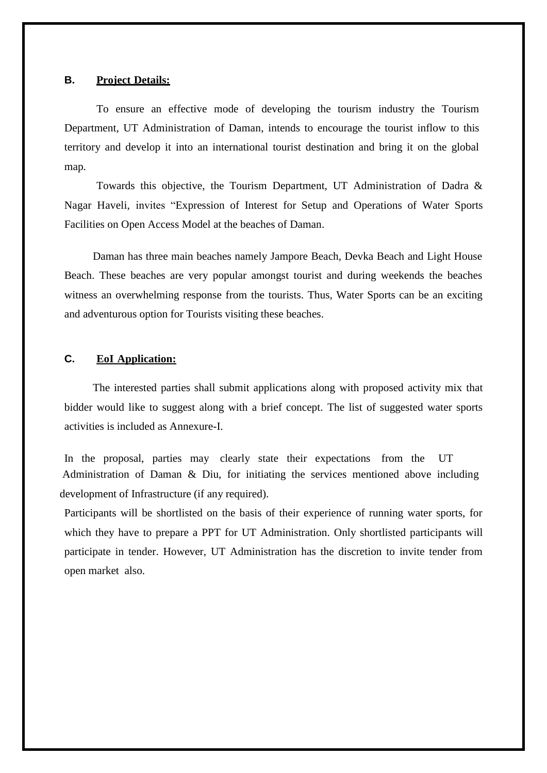#### **B. Project Details:**

To ensure an effective mode of developing the tourism industry the Tourism Department, UT Administration of Daman, intends to encourage the tourist inflow to this territory and develop it into an international tourist destination and bring it on the global map.

Towards this objective, the Tourism Department, UT Administration of Dadra & Nagar Haveli, invites "Expression of Interest for Setup and Operations of Water Sports Facilities on Open Access Model at the beaches of Daman.

Daman has three main beaches namely Jampore Beach, Devka Beach and Light House Beach. These beaches are very popular amongst tourist and during weekends the beaches witness an overwhelming response from the tourists. Thus, Water Sports can be an exciting and adventurous option for Tourists visiting these beaches.

#### **C. EoI Application:**

The interested parties shall submit applications along with proposed activity mix that bidder would like to suggest along with a brief concept. The list of suggested water sports activities is included as Annexure-I.

In the proposal, parties may clearly state their expectations from the UT Administration of Daman & Diu, for initiating the services mentioned above including development of Infrastructure (if any required).

Participants will be shortlisted on the basis of their experience of running water sports, for which they have to prepare a PPT for UT Administration. Only shortlisted participants will participate in tender. However, UT Administration has the discretion to invite tender from open market also.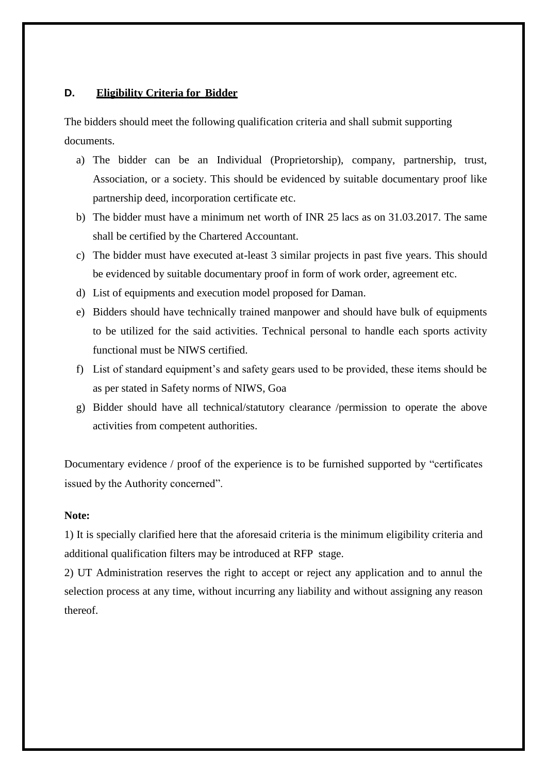### **D. Eligibility Criteria for Bidder**

The bidders should meet the following qualification criteria and shall submit supporting documents.

- a) The bidder can be an Individual (Proprietorship), company, partnership, trust, Association, or a society. This should be evidenced by suitable documentary proof like partnership deed, incorporation certificate etc.
- b) The bidder must have a minimum net worth of INR 25 lacs as on 31.03.2017. The same shall be certified by the Chartered Accountant.
- c) The bidder must have executed at-least 3 similar projects in past five years. This should be evidenced by suitable documentary proof in form of work order, agreement etc.
- d) List of equipments and execution model proposed for Daman.
- e) Bidders should have technically trained manpower and should have bulk of equipments to be utilized for the said activities. Technical personal to handle each sports activity functional must be NIWS certified.
- f) List of standard equipment's and safety gears used to be provided, these items should be as per stated in Safety norms of NIWS, Goa
- g) Bidder should have all technical/statutory clearance /permission to operate the above activities from competent authorities.

Documentary evidence / proof of the experience is to be furnished supported by "certificates issued by the Authority concerned".

#### **Note:**

1) It is specially clarified here that the aforesaid criteria is the minimum eligibility criteria and additional qualification filters may be introduced at RFP stage.

2) UT Administration reserves the right to accept or reject any application and to annul the selection process at any time, without incurring any liability and without assigning any reason thereof.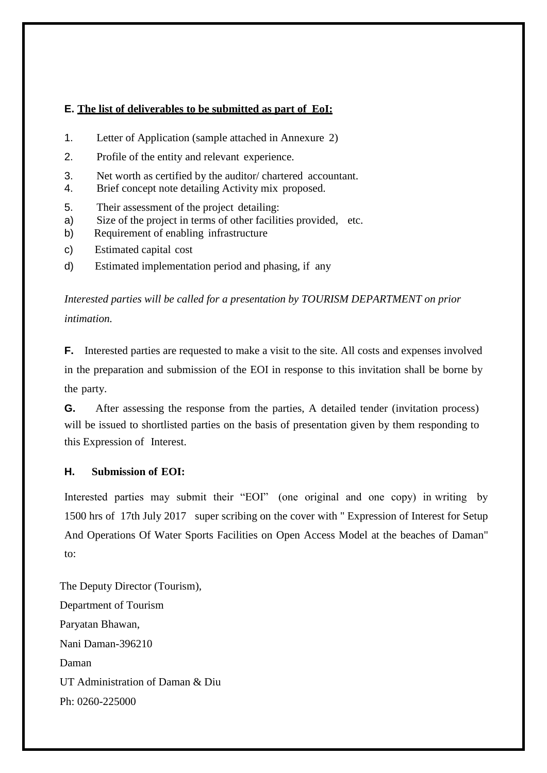#### **E. The list of deliverables to be submitted as part of EoI:**

- 1. Letter of Application (sample attached in Annexure 2)
- 2. Profile of the entity and relevant experience.
- 3. Net worth as certified by the auditor/ chartered accountant.
- 4. Brief concept note detailing Activity mix proposed.
- 5. Their assessment of the project detailing:
- a) Size of the project in terms of other facilities provided, etc.
- b) Requirement of enabling infrastructure
- c) Estimated capital cost
- d) Estimated implementation period and phasing, if any

*Interested parties will be called for a presentation by TOURISM DEPARTMENT on prior intimation.*

**F.** Interested parties are requested to make a visit to the site. All costs and expenses involved in the preparation and submission of the EOI in response to this invitation shall be borne by the party.

**G.** After assessing the response from the parties, A detailed tender (invitation process) will be issued to shortlisted parties on the basis of presentation given by them responding to this Expression of Interest.

### **H. Submission of EOI:**

Interested parties may submit their "EOI" (one original and one copy) in writing by 1500 hrs of 17th July 2017 super scribing on the cover with " Expression of Interest for Setup And Operations Of Water Sports Facilities on Open Access Model at the beaches of Daman" to:

The Deputy Director (Tourism), Department of Tourism Paryatan Bhawan, Nani Daman-396210 Daman UT Administration of Daman & Diu Ph: 0260-225000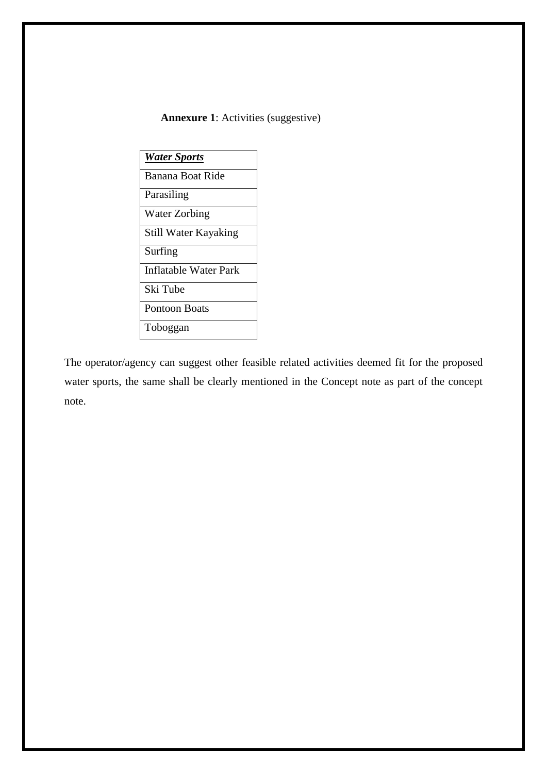## **Annexure 1**: Activities (suggestive)

| <b>Water Sports</b>          |
|------------------------------|
| Banana Boat Ride             |
| Parasiling                   |
| <b>Water Zorbing</b>         |
| <b>Still Water Kayaking</b>  |
| Surfing                      |
| <b>Inflatable Water Park</b> |
| Ski Tube                     |
| <b>Pontoon Boats</b>         |
| Toboggan                     |

The operator/agency can suggest other feasible related activities deemed fit for the proposed water sports, the same shall be clearly mentioned in the Concept note as part of the concept note.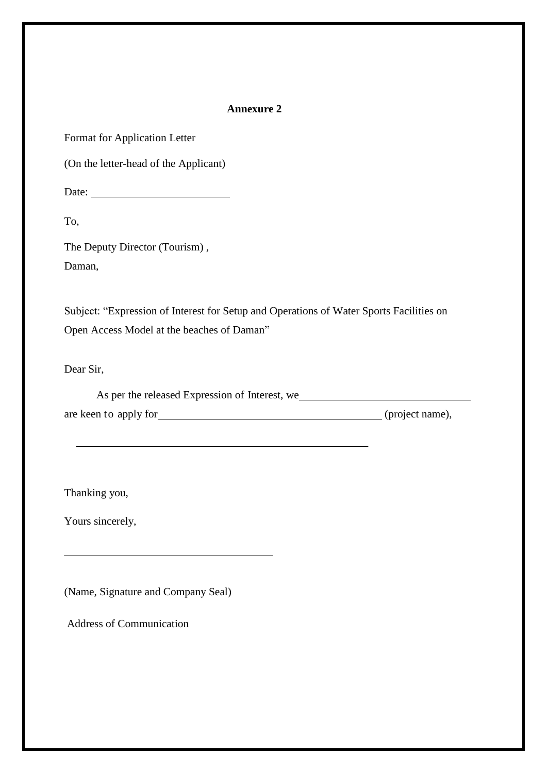#### **Annexure 2**

Format for Application Letter

(On the letter-head of the Applicant)

Date:

To,

The Deputy Director (Tourism) , Daman,

Subject: "Expression of Interest for Setup and Operations of Water Sports Facilities on Open Access Model at the beaches of Daman"

Dear Sir,

| As per the released Expression of Interest, we |                 |
|------------------------------------------------|-----------------|
| are keen to apply for                          | (project name), |

Thanking you,

Yours sincerely,

(Name, Signature and Company Seal)

Address of Communication